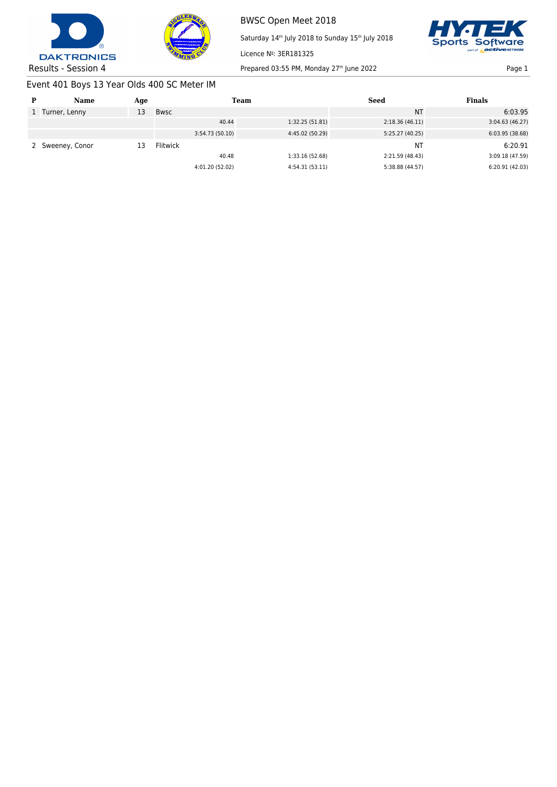



Saturday 14<sup>th</sup> July 2018 to Sunday 15<sup>th</sup> July 2018



Results - Session 4 Prepared 03:55 PM, Monday 27<sup>th</sup> June 2022 Page 1

# Event 401 Boys 13 Year Olds 400 SC Meter IM

| P | Name           | Age |                 | Team            | Seed            | <b>Finals</b>   |
|---|----------------|-----|-----------------|-----------------|-----------------|-----------------|
|   | Turner, Lenny  | 13  | Bwsc            |                 | <b>NT</b>       | 6:03.95         |
|   |                |     | 40.44           | 1:32.25 (51.81) | 2:18.36(46.11)  | 3:04.63(46.27)  |
|   |                |     | 3:54.73 (50.10) | 4:45.02 (50.29) | 5:25.27 (40.25) | 6:03.95(38.68)  |
|   | Sweeney, Conor | 13  | <b>Flitwick</b> |                 | <b>NT</b>       | 6:20.91         |
|   |                |     | 40.48           | 1:33.16 (52.68) | 2:21.59 (48.43) | 3:09.18 (47.59) |
|   |                |     | 4:01.20 (52.02) | 4:54.31 (53.11) | 5:38.88 (44.57) | 6:20.91(42.03)  |

Licence Nº: 3ER181325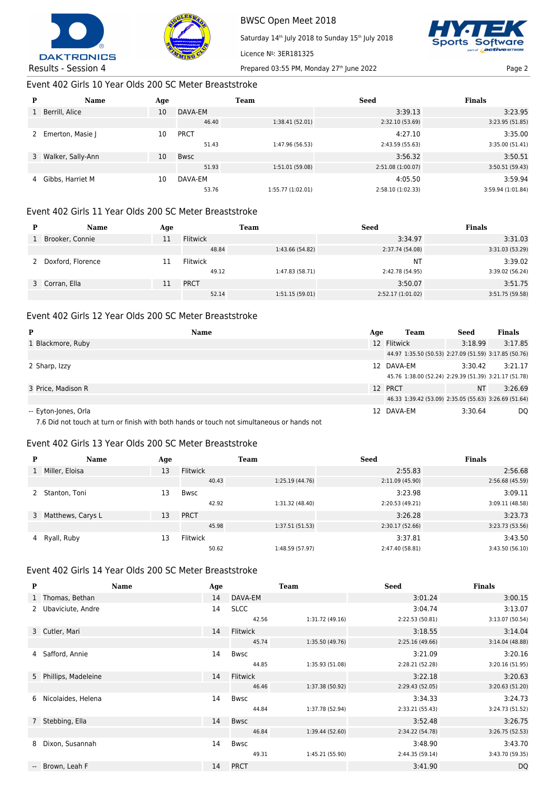



Saturday 14<sup>th</sup> July 2018 to Sunday 15<sup>th</sup> July 2018



Results - Session 4 Prepared 03:55 PM, Monday 27<sup>th</sup> June 2022 Page 2

Licence Nº: 3ER181325

Event 402 Girls 10 Year Olds 200 SC Meter Breaststroke

| P | <b>Name</b>         | Age |             | <b>Team</b>       | <b>Seed</b>       | <b>Finals</b>     |
|---|---------------------|-----|-------------|-------------------|-------------------|-------------------|
| 1 | Berrill, Alice      | 10  | DAVA-EM     |                   | 3:39.13           | 3:23.95           |
|   |                     |     | 46.40       | 1:38.41 (52.01)   | 2:32.10 (53.69)   | 3:23.95 (51.85)   |
| 2 | Emerton, Masie J    | 10  | <b>PRCT</b> |                   | 4:27.10           | 3:35.00           |
|   |                     |     | 51.43       | 1:47.96 (56.53)   | 2:43.59 (55.63)   | 3:35.00 (51.41)   |
|   | 3 Walker, Sally-Ann | 10  | <b>Bwsc</b> |                   | 3:56.32           | 3:50.51           |
|   |                     |     | 51.93       | 1:51.01 (59.08)   | 2:51.08 (1:00.07) | 3:50.51(59.43)    |
| 4 | Gibbs, Harriet M    | 10  | DAVA-EM     |                   | 4:05.50           | 3:59.94           |
|   |                     |     | 53.76       | 1:55.77 (1:02.01) | 2:58.10 (1:02.33) | 3:59.94 (1:01.84) |

## Event 402 Girls 11 Year Olds 200 SC Meter Breaststroke

| D | <b>Name</b>       | Age |                 | Team            | <b>Seed</b>      | <b>Finals</b>   |
|---|-------------------|-----|-----------------|-----------------|------------------|-----------------|
|   | Brooker, Connie   | 11  | Flitwick        |                 | 3:34.97          | 3:31.03         |
|   |                   |     | 48.84           | 1:43.66 (54.82) | 2:37.74 (54.08)  | 3:31.03 (53.29) |
|   | Doxford, Florence |     | <b>Flitwick</b> |                 | <b>NT</b>        | 3:39.02         |
|   |                   |     | 49.12           | 1:47.83 (58.71) | 2:42.78 (54.95)  | 3:39.02 (56.24) |
|   | 3 Corran, Ella    |     | <b>PRCT</b>     |                 | 3:50.07          | 3:51.75         |
|   |                   |     | 52.14           | 1:51.15(59.01)  | 2:52.17(1:01.02) | 3:51.75 (59.58) |

# Event 402 Girls 12 Year Olds 200 SC Meter Breaststroke

| P                    | <b>Name</b> | Age | Team                                                  | <b>Seed</b> | <b>Finals</b> |
|----------------------|-------------|-----|-------------------------------------------------------|-------------|---------------|
| 1 Blackmore, Ruby    |             |     | 12 Flitwick                                           | 3:18.99     | 3:17.85       |
|                      |             |     | 44.97 1:35.50 (50.53) 2:27.09 (51.59) 3:17.85 (50.76) |             |               |
| 2 Sharp, Izzy        |             |     | 12 DAVA-EM                                            | 3:30.42     | 3:21.17       |
|                      |             |     | 45.76 1:38.00 (52.24) 2:29.39 (51.39) 3:21.17 (51.78) |             |               |
| 3 Price, Madison R   |             |     | 12 PRCT                                               | <b>NT</b>   | 3:26.69       |
|                      |             |     | 46.33 1:39.42 (53.09) 2:35.05 (55.63) 3:26.69 (51.64) |             |               |
| -- Eyton-Jones, Orla |             |     | 12 DAVA-EM                                            | 3:30.64     | DQ            |

7.6 Did not touch at turn or finish with both hands or touch not simultaneous or hands not

# Event 402 Girls 13 Year Olds 200 SC Meter Breaststroke

| P | <b>Name</b>         | Age |                 | Team            | <b>Seed</b>     | <b>Finals</b>   |
|---|---------------------|-----|-----------------|-----------------|-----------------|-----------------|
|   | Miller, Eloisa      | 13  | <b>Flitwick</b> |                 | 2:55.83         | 2:56.68         |
|   |                     |     | 40.43           | 1:25.19 (44.76) | 2:11.09 (45.90) | 2:56.68 (45.59) |
| 2 | Stanton, Toni       | 13  | Bwsc            |                 | 3:23.98         | 3:09.11         |
|   |                     |     | 42.92           | 1:31.32 (48.40) | 2:20.53 (49.21) | 3:09.11(48.58)  |
|   | 3 Matthews, Carys L | 13  | <b>PRCT</b>     |                 | 3:26.28         | 3:23.73         |
|   |                     |     | 45.98           | 1:37.51 (51.53) | 2:30.17(52.66)  | 3:23.73 (53.56) |
|   | 4 Ryall, Ruby       | 13  | Flitwick        |                 | 3:37.81         | 3:43.50         |
|   |                     |     | 50.62           | 1:48.59 (57.97) | 2:47.40 (58.81) | 3:43.50 (56.10) |

# Event 402 Girls 14 Year Olds 200 SC Meter Breaststroke

| P | Name                  | Age |                      | <b>Team</b>     | <b>Seed</b>                | <b>Finals</b>              |
|---|-----------------------|-----|----------------------|-----------------|----------------------------|----------------------------|
|   | 1 Thomas, Bethan      | 14  | DAVA-EM              |                 | 3:01.24                    | 3:00.15                    |
|   | 2 Ubaviciute, Andre   | 14  | <b>SLCC</b><br>42.56 | 1:31.72 (49.16) | 3:04.74<br>2:22.53 (50.81) | 3:13.07<br>3:13.07 (50.54) |
|   | 3 Cutler, Mari        | 14  | Flitwick             |                 | 3:18.55                    | 3:14.04                    |
|   |                       |     | 45.74                | 1:35.50 (49.76) | 2:25.16(49.66)             | 3:14.04 (48.88)            |
|   | 4 Safford, Annie      | 14  | Bwsc                 |                 | 3:21.09                    | 3:20.16                    |
|   |                       |     | 44.85                | 1:35.93 (51.08) | 2:28.21 (52.28)            | 3:20.16 (51.95)            |
|   | 5 Phillips, Madeleine | 14  | Flitwick             |                 | 3:22.18                    | 3:20.63                    |
|   |                       |     | 46.46                | 1:37.38 (50.92) | 2:29.43 (52.05)            | 3:20.63 (51.20)            |
|   | 6 Nicolaides, Helena  | 14  | Bwsc                 |                 | 3:34.33                    | 3:24.73                    |
|   |                       |     | 44.84                | 1:37.78 (52.94) | 2:33.21 (55.43)            | 3:24.73 (51.52)            |
|   | 7 Stebbing, Ella      | 14  | <b>Bwsc</b>          |                 | 3:52.48                    | 3:26.75                    |
|   |                       |     | 46.84                | 1:39.44 (52.60) | 2:34.22 (54.78)            | 3:26.75 (52.53)            |
|   | 8 Dixon, Susannah     | 14  | <b>Bwsc</b>          |                 | 3:48.90                    | 3:43.70                    |
|   |                       |     | 49.31                | 1:45.21 (55.90) | 2:44.35 (59.14)            | 3:43.70 (59.35)            |
|   | -- Brown, Leah F      | 14  | <b>PRCT</b>          |                 | 3:41.90                    | <b>DQ</b>                  |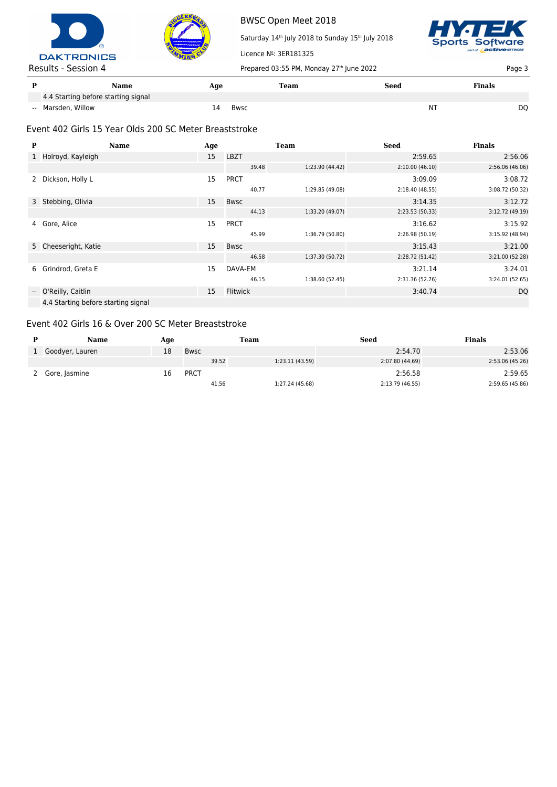



Saturday 14<sup>th</sup> July 2018 to Sunday 15<sup>th</sup> July 2018 Licence Nº: 3ER181325



| Results - Session 4                 | Prepared 03:55 PM, Monday 27th June 2022 |      |      | Page 3        |  |
|-------------------------------------|------------------------------------------|------|------|---------------|--|
| Name                                | Aqe                                      | Team | Seed | <b>Finals</b> |  |
| 4.4 Starting before starting signal |                                          |      |      |               |  |
| -- Marsden, Willow                  | Bwsc<br>14                               |      | N٦   | DO            |  |

## Event 402 Girls 15 Year Olds 200 SC Meter Breaststroke

| P | <b>Name</b>                         | Age |                 | <b>Team</b>     | <b>Seed</b>     | <b>Finals</b>   |
|---|-------------------------------------|-----|-----------------|-----------------|-----------------|-----------------|
|   | 1 Holroyd, Kayleigh                 | 15  | <b>LBZT</b>     |                 | 2:59.65         | 2:56.06         |
|   |                                     |     | 39.48           | 1:23.90 (44.42) | 2:10.00(46.10)  | 2:56.06(46.06)  |
| 2 | Dickson, Holly L                    | 15  | <b>PRCT</b>     |                 | 3:09.09         | 3:08.72         |
|   |                                     |     | 40.77           | 1:29.85 (49.08) | 2:18.40 (48.55) | 3:08.72 (50.32) |
|   | 3 Stebbing, Olivia                  | 15  | Bwsc            |                 | 3:14.35         | 3:12.72         |
|   |                                     |     | 44.13           | 1:33.20 (49.07) | 2:23.53(50.33)  | 3:12.72 (49.19) |
|   | 4 Gore, Alice                       | 15  | <b>PRCT</b>     |                 | 3:16.62         | 3:15.92         |
|   |                                     |     | 45.99           | 1:36.79 (50.80) | 2:26.98 (50.19) | 3:15.92 (48.94) |
|   | 5 Cheeseright, Katie                | 15  | Bwsc            |                 | 3:15.43         | 3:21.00         |
|   |                                     |     | 46.58           | 1:37.30 (50.72) | 2:28.72 (51.42) | 3:21.00 (52.28) |
|   | 6 Grindrod, Greta E                 | 15  | DAVA-EM         |                 | 3:21.14         | 3:24.01         |
|   |                                     |     | 46.15           | 1:38.60 (52.45) | 2:31.36 (52.76) | 3:24.01 (52.65) |
|   | -- O'Reilly, Caitlin                | 15  | <b>Flitwick</b> |                 | 3:40.74         | DQ              |
|   | 4.4 Starting before starting signal |     |                 |                 |                 |                 |

#### Event 402 Girls 16 & Over 200 SC Meter Breaststroke

| Name            | Age |             | Team  |                 | <b>Seed</b>     | Finals          |
|-----------------|-----|-------------|-------|-----------------|-----------------|-----------------|
| Goodyer, Lauren | 18  | Bwsc        |       |                 | 2:54.70         | 2:53.06         |
|                 |     |             | 39.52 | 1:23.11(43.59)  | 2:07.80 (44.69) | 2:53.06 (45.26) |
| 2 Gore, Jasmine | 16  | <b>PRCT</b> |       |                 | 2:56.58         | 2:59.65         |
|                 |     |             | 41.56 | 1:27.24 (45.68) | 2:13.79 (46.55) | 2:59.65 (45.86) |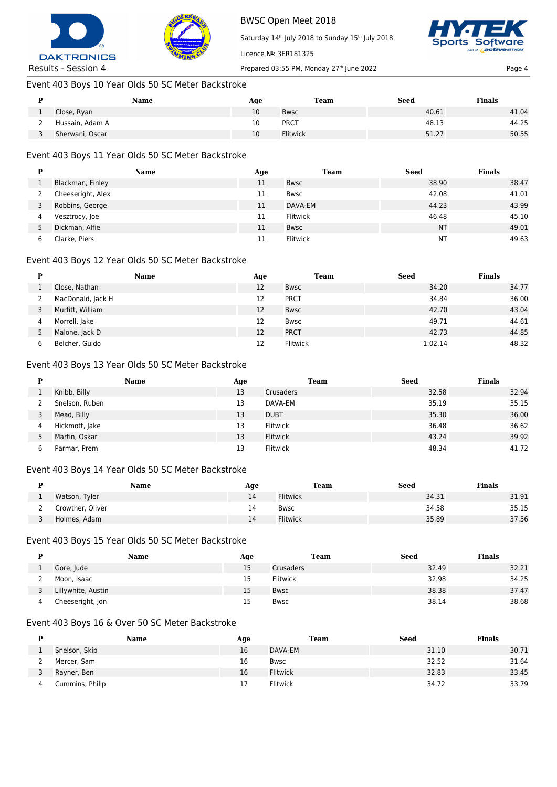



Saturday 14<sup>th</sup> July 2018 to Sunday 15<sup>th</sup> July 2018



Results - Session 4 Prepared 03:55 PM, Monday 27<sup>th</sup> June 2022 Page 4

## Event 403 Boys 10 Year Olds 50 SC Meter Backstroke

| Name            | Age | Team            | <b>Seed</b> | <b>Finals</b> |
|-----------------|-----|-----------------|-------------|---------------|
| Close, Ryan     | 10  | <b>Bwsc</b>     | 40.61       | 41.04         |
| Hussain, Adam A | 10  | <b>PRCT</b>     | 48.13       | 44.25         |
| Sherwani, Oscar | 10  | <b>Flitwick</b> | 51.27       | 50.55         |

Licence Nº: 3ER181325

# Event 403 Boys 11 Year Olds 50 SC Meter Backstroke

| D             | Name              | Age | <b>Team</b> | <b>Seed</b> | <b>Finals</b> |
|---------------|-------------------|-----|-------------|-------------|---------------|
|               | Blackman, Finley  | 11  | <b>Bwsc</b> | 38.90       | 38.47         |
|               | Cheeseright, Alex | 11  | Bwsc        | 42.08       | 41.01         |
|               | Robbins, George   | 11  | DAVA-EM     | 44.23       | 43.99         |
| 4             | Vesztrocy, Joe    | 11  | Flitwick    | 46.48       | 45.10         |
| $\mathcal{D}$ | Dickman, Alfie    | 11  | Bwsc        | <b>NT</b>   | 49.01         |
| 6             | Clarke, Piers     | 11  | Flitwick    | NT          | 49.63         |

#### Event 403 Boys 12 Year Olds 50 SC Meter Backstroke

| D | Name              | Age | Team        | <b>Seed</b> | <b>Finals</b> |
|---|-------------------|-----|-------------|-------------|---------------|
|   | Close, Nathan     | 12  | <b>Bwsc</b> | 34.20       | 34.77         |
|   | MacDonald, Jack H | 12  | <b>PRCT</b> | 34.84       | 36.00         |
|   | Murfitt, William  | 12  | <b>Bwsc</b> | 42.70       | 43.04         |
| 4 | Morrell, Jake     | 12  | Bwsc        | 49.71       | 44.61         |
|   | Malone, Jack D    | 12  | <b>PRCT</b> | 42.73       | 44.85         |
|   | Belcher, Guido    | 12  | Flitwick    | 1:02.14     | 48.32         |

## Event 403 Boys 13 Year Olds 50 SC Meter Backstroke

|               | Name           | Age | <b>Team</b> | <b>Seed</b> | <b>Finals</b> |
|---------------|----------------|-----|-------------|-------------|---------------|
|               | Knibb, Billy   | 13  | Crusaders   | 32.58       | 32.94         |
|               | Snelson, Ruben | 13  | DAVA-EM     | 35.19       | 35.15         |
|               | Mead, Billy    | 13  | <b>DUBT</b> | 35.30       | 36.00         |
| 4             | Hickmott, Jake | 13  | Flitwick    | 36.48       | 36.62         |
| $\mathcal{L}$ | Martin, Oskar  | 13  | Flitwick    | 43.24       | 39.92         |
| b             | Parmar, Prem   | 13  | Flitwick    | 48.34       | 41.72         |

#### Event 403 Boys 14 Year Olds 50 SC Meter Backstroke

| Name             | Age | Team            | <b>Seed</b> | <b>Finals</b> |
|------------------|-----|-----------------|-------------|---------------|
| Watson, Tyler    | 14  | <b>Flitwick</b> | 34.31       | 31.91         |
| Crowther, Oliver | 14  | <b>Bwsc</b>     | 34.58       | 35.15         |
| Holmes, Adam     | 14  | Flitwick        | 35.89       | 37.56         |

#### Event 403 Boys 15 Year Olds 50 SC Meter Backstroke

| Name               | Age | <b>Team</b>     | <b>Seed</b> | <b>Finals</b> |
|--------------------|-----|-----------------|-------------|---------------|
| Gore, Jude         | 15  | Crusaders       | 32.49       | 32.21         |
| Moon, Isaac        | 15  | <b>Flitwick</b> | 32.98       | 34.25         |
| Lillywhite, Austin | 15  | <b>Bwsc</b>     | 38.38       | 37.47         |
| Cheeseright, Jon   | 15  | <b>Bwsc</b>     | 38.14       | 38.68         |

#### Event 403 Boys 16 & Over 50 SC Meter Backstroke

| Name            | Age | <b>Team</b>     | Seed  | <b>Finals</b> |
|-----------------|-----|-----------------|-------|---------------|
| Snelson, Skip   | 16  | DAVA-EM         | 31.10 | 30.71         |
| Mercer, Sam     | 16  | <b>Bwsc</b>     | 32.52 | 31.64         |
| Rayner, Ben     | 16  | <b>Flitwick</b> | 32.83 | 33.45         |
| Cummins, Philip |     | Flitwick        | 34.72 | 33.79         |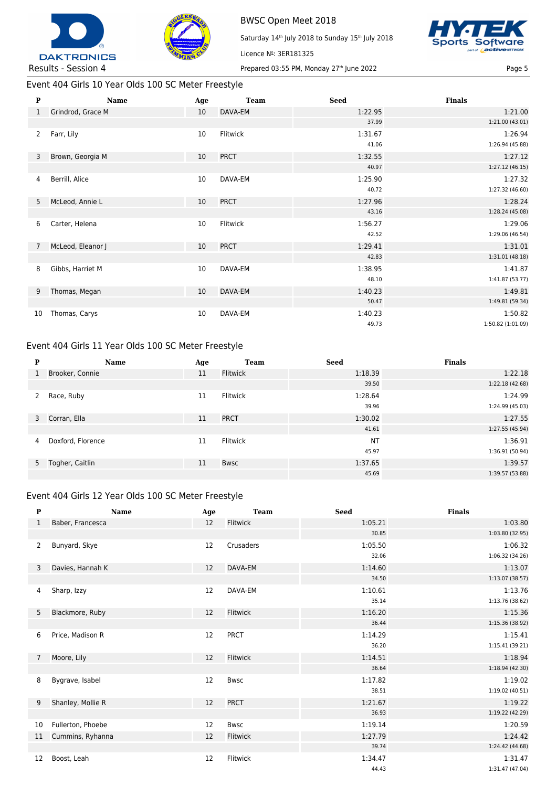



BWSC Open Meet 2018 Saturday 14<sup>th</sup> July 2018 to Sunday 15<sup>th</sup> July 2018 Licence Nº: 3ER181325



Event 404 Girls 10 Year Olds 100 SC Meter Freestyle

| $\mathbf{P}$   | Name              | Age | <b>Team</b> | <b>Seed</b> | <b>Finals</b>     |
|----------------|-------------------|-----|-------------|-------------|-------------------|
| $\mathbf{1}$   | Grindrod, Grace M | 10  | DAVA-EM     | 1:22.95     | 1:21.00           |
|                |                   |     |             | 37.99       | 1:21.00 (43.01)   |
| $\overline{2}$ | Farr, Lily        | 10  | Flitwick    | 1:31.67     | 1:26.94           |
|                |                   |     |             | 41.06       | 1:26.94 (45.88)   |
| 3              | Brown, Georgia M  | 10  | <b>PRCT</b> | 1:32.55     | 1:27.12           |
|                |                   |     |             | 40.97       | 1:27.12 (46.15)   |
| 4              | Berrill, Alice    | 10  | DAVA-EM     | 1:25.90     | 1:27.32           |
|                |                   |     |             | 40.72       | 1:27.32 (46.60)   |
| 5              | McLeod, Annie L   | 10  | <b>PRCT</b> | 1:27.96     | 1:28.24           |
|                |                   |     |             | 43.16       | 1:28.24 (45.08)   |
| 6              | Carter, Helena    | 10  | Flitwick    | 1:56.27     | 1:29.06           |
|                |                   |     |             | 42.52       | 1:29.06 (46.54)   |
| $\overline{7}$ | McLeod, Eleanor J | 10  | <b>PRCT</b> | 1:29.41     | 1:31.01           |
|                |                   |     |             | 42.83       | 1:31.01 (48.18)   |
| 8              | Gibbs, Harriet M  | 10  | DAVA-EM     | 1:38.95     | 1:41.87           |
|                |                   |     |             | 48.10       | 1:41.87 (53.77)   |
| 9              | Thomas, Megan     | 10  | DAVA-EM     | 1:40.23     | 1:49.81           |
|                |                   |     |             | 50.47       | 1:49.81 (59.34)   |
| 10             | Thomas, Carys     | 10  | DAVA-EM     | 1:40.23     | 1:50.82           |
|                |                   |     |             | 49.73       | 1:50.82 (1:01.09) |

# Event 404 Girls 11 Year Olds 100 SC Meter Freestyle

| P | Name              | Age | <b>Team</b> | <b>Seed</b> | <b>Finals</b>   |
|---|-------------------|-----|-------------|-------------|-----------------|
| 1 | Brooker, Connie   | 11  | Flitwick    | 1:18.39     | 1:22.18         |
|   |                   |     |             | 39.50       | 1:22.18(42.68)  |
| 2 | Race, Ruby        | 11  | Flitwick    | 1:28.64     | 1:24.99         |
|   |                   |     |             | 39.96       | 1:24.99 (45.03) |
|   | 3 Corran, Ella    | 11  | <b>PRCT</b> | 1:30.02     | 1:27.55         |
|   |                   |     |             | 41.61       | 1:27.55 (45.94) |
| 4 | Doxford, Florence | 11  | Flitwick    | <b>NT</b>   | 1:36.91         |
|   |                   |     |             | 45.97       | 1:36.91 (50.94) |
|   | 5 Togher, Caitlin | 11  | <b>Bwsc</b> | 1:37.65     | 1:39.57         |
|   |                   |     |             | 45.69       | 1:39.57 (53.88) |

#### Event 404 Girls 12 Year Olds 100 SC Meter Freestyle

| $\mathbf{P}$   | <b>Name</b>       | Age | <b>Team</b> | <b>Seed</b> | <b>Finals</b>   |
|----------------|-------------------|-----|-------------|-------------|-----------------|
| 1              | Baber, Francesca  | 12  | Flitwick    | 1:05.21     | 1:03.80         |
|                |                   |     |             | 30.85       | 1:03.80 (32.95) |
| 2              | Bunyard, Skye     | 12  | Crusaders   | 1:05.50     | 1:06.32         |
|                |                   |     |             | 32.06       | 1:06.32 (34.26) |
| 3              | Davies, Hannah K  | 12  | DAVA-EM     | 1:14.60     | 1:13.07         |
|                |                   |     |             | 34.50       | 1:13.07 (38.57) |
| 4              | Sharp, Izzy       | 12  | DAVA-EM     | 1:10.61     | 1:13.76         |
|                |                   |     |             | 35.14       | 1:13.76 (38.62) |
| 5              | Blackmore, Ruby   | 12  | Flitwick    | 1:16.20     | 1:15.36         |
|                |                   |     |             | 36.44       | 1:15.36 (38.92) |
| 6              | Price, Madison R  | 12  | <b>PRCT</b> | 1:14.29     | 1:15.41         |
|                |                   |     |             | 36.20       | 1:15.41(39.21)  |
| $\overline{7}$ | Moore, Lily       | 12  | Flitwick    | 1:14.51     | 1:18.94         |
|                |                   |     |             | 36.64       | 1:18.94 (42.30) |
| 8              | Bygrave, Isabel   | 12  | Bwsc        | 1:17.82     | 1:19.02         |
|                |                   |     |             | 38.51       | 1:19.02 (40.51) |
| 9              | Shanley, Mollie R | 12  | <b>PRCT</b> | 1:21.67     | 1:19.22         |
|                |                   |     |             | 36.93       | 1:19.22 (42.29) |
| 10             | Fullerton, Phoebe | 12  | <b>Bwsc</b> | 1:19.14     | 1:20.59         |
| 11             | Cummins, Ryhanna  | 12  | Flitwick    | 1:27.79     | 1:24.42         |
|                |                   |     |             | 39.74       | 1:24.42 (44.68) |
| 12             | Boost, Leah       | 12  | Flitwick    | 1:34.47     | 1:31.47         |
|                |                   |     |             | 44.43       | 1:31.47 (47.04) |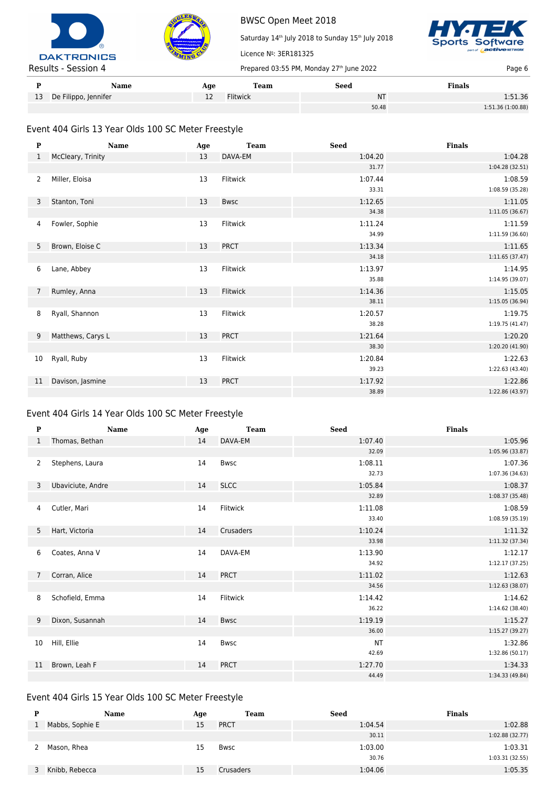



Saturday 14<sup>th</sup> July 2018 to Sunday 15<sup>th</sup> July 2018



| Name                    | Age | Team            | Seed      | <b>Finals</b>     |
|-------------------------|-----|-----------------|-----------|-------------------|
| 13 De Filippo, Jennifer | --  | <b>Flitwick</b> | <b>NT</b> | 1:51.36           |
|                         |     |                 | 50.48     | 1:51.36 (1:00.88) |

Licence Nº: 3ER181325

## Event 404 Girls 13 Year Olds 100 SC Meter Freestyle

| P              | Name              | Age | <b>Team</b> | <b>Seed</b> | <b>Finals</b>   |
|----------------|-------------------|-----|-------------|-------------|-----------------|
| 1              | McCleary, Trinity | 13  | DAVA-EM     | 1:04.20     | 1:04.28         |
|                |                   |     |             | 31.77       | 1:04.28 (32.51) |
| 2              | Miller, Eloisa    | 13  | Flitwick    | 1:07.44     | 1:08.59         |
|                |                   |     |             | 33.31       | 1:08.59 (35.28) |
| 3              | Stanton, Toni     | 13  | <b>Bwsc</b> | 1:12.65     | 1:11.05         |
|                |                   |     |             | 34.38       | 1:11.05(36.67)  |
| 4              | Fowler, Sophie    | 13  | Flitwick    | 1:11.24     | 1:11.59         |
|                |                   |     |             | 34.99       | 1:11.59(36.60)  |
| 5              | Brown, Eloise C   | 13  | <b>PRCT</b> | 1:13.34     | 1:11.65         |
|                |                   |     |             | 34.18       | 1:11.65(37.47)  |
| 6              | Lane, Abbey       | 13  | Flitwick    | 1:13.97     | 1:14.95         |
|                |                   |     |             | 35.88       | 1:14.95 (39.07) |
| $\overline{7}$ | Rumley, Anna      | 13  | Flitwick    | 1:14.36     | 1:15.05         |
|                |                   |     |             | 38.11       | 1:15.05 (36.94) |
| 8              | Ryall, Shannon    | 13  | Flitwick    | 1:20.57     | 1:19.75         |
|                |                   |     |             | 38.28       | 1:19.75 (41.47) |
| 9              | Matthews, Carys L | 13  | <b>PRCT</b> | 1:21.64     | 1:20.20         |
|                |                   |     |             | 38.30       | 1:20.20 (41.90) |
| 10             | Ryall, Ruby       | 13  | Flitwick    | 1:20.84     | 1:22.63         |
|                |                   |     |             | 39.23       | 1:22.63 (43.40) |
| 11             | Davison, Jasmine  | 13  | <b>PRCT</b> | 1:17.92     | 1:22.86         |
|                |                   |     |             | 38.89       | 1:22.86 (43.97) |

### Event 404 Girls 14 Year Olds 100 SC Meter Freestyle

| ${\bf P}$ | <b>Name</b>       | Age | <b>Team</b> | <b>Seed</b> | <b>Finals</b>   |
|-----------|-------------------|-----|-------------|-------------|-----------------|
| 1         | Thomas, Bethan    | 14  | DAVA-EM     | 1:07.40     | 1:05.96         |
|           |                   |     |             | 32.09       | 1:05.96 (33.87) |
| 2         | Stephens, Laura   | 14  | <b>Bwsc</b> | 1:08.11     | 1:07.36         |
|           |                   |     |             | 32.73       | 1:07.36 (34.63) |
| 3         | Ubaviciute, Andre | 14  | <b>SLCC</b> | 1:05.84     | 1:08.37         |
|           |                   |     |             | 32.89       | 1:08.37 (35.48) |
| 4         | Cutler, Mari      | 14  | Flitwick    | 1:11.08     | 1:08.59         |
|           |                   |     |             | 33.40       | 1:08.59 (35.19) |
| 5         | Hart, Victoria    | 14  | Crusaders   | 1:10.24     | 1:11.32         |
|           |                   |     |             | 33.98       | 1:11.32 (37.34) |
| 6         | Coates, Anna V    | 14  | DAVA-EM     | 1:13.90     | 1:12.17         |
|           |                   |     |             | 34.92       | 1:12.17(37.25)  |
| 7         | Corran, Alice     | 14  | <b>PRCT</b> | 1:11.02     | 1:12.63         |
|           |                   |     |             | 34.56       | 1:12.63 (38.07) |
| 8         | Schofield, Emma   | 14  | Flitwick    | 1:14.42     | 1:14.62         |
|           |                   |     |             | 36.22       | 1:14.62 (38.40) |
| 9         | Dixon, Susannah   | 14  | <b>Bwsc</b> | 1:19.19     | 1:15.27         |
|           |                   |     |             | 36.00       | 1:15.27(39.27)  |
| 10        | Hill, Ellie       | 14  | <b>Bwsc</b> | <b>NT</b>   | 1:32.86         |
|           |                   |     |             | 42.69       | 1:32.86 (50.17) |
| 11        | Brown, Leah F     | 14  | <b>PRCT</b> | 1:27.70     | 1:34.33         |
|           |                   |     |             | 44.49       | 1:34.33 (49.84) |

## Event 404 Girls 15 Year Olds 100 SC Meter Freestyle

| D | <b>Name</b>     | Age | Team        | <b>Seed</b> | <b>Finals</b>   |
|---|-----------------|-----|-------------|-------------|-----------------|
|   | Mabbs, Sophie E | 15  | <b>PRCT</b> | 1:04.54     | 1:02.88         |
|   |                 |     |             | 30.11       | 1:02.88 (32.77) |
|   | Mason, Rhea     | 15  | Bwsc        | 1:03.00     | 1:03.31         |
|   |                 |     |             | 30.76       | 1:03.31(32.55)  |
|   | Knibb, Rebecca  | 15  | Crusaders   | 1:04.06     | 1:05.35         |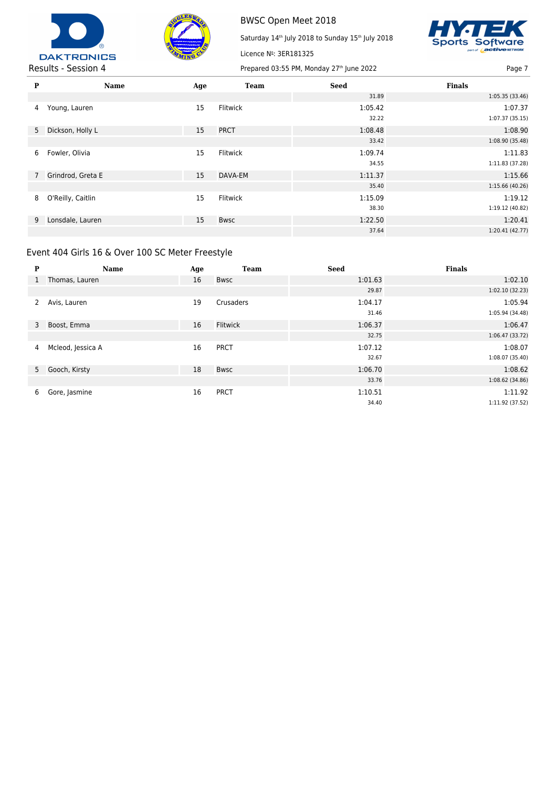



Licence Nº: 3ER181325

Saturday 14<sup>th</sup> July 2018 to Sunday 15<sup>th</sup> July 2018



| P | <b>Name</b>         | Age | <b>Team</b> | <b>Seed</b> | <b>Finals</b>   |
|---|---------------------|-----|-------------|-------------|-----------------|
|   |                     |     |             | 31.89       | 1:05.35 (33.46) |
| 4 | Young, Lauren       | 15  | Flitwick    | 1:05.42     | 1:07.37         |
|   |                     |     |             | 32.22       | 1:07.37(35.15)  |
|   | 5 Dickson, Holly L  | 15  | <b>PRCT</b> | 1:08.48     | 1:08.90         |
|   |                     |     |             | 33.42       | 1:08.90 (35.48) |
| 6 | Fowler, Olivia      | 15  | Flitwick    | 1:09.74     | 1:11.83         |
|   |                     |     |             | 34.55       | 1:11.83 (37.28) |
|   | 7 Grindrod, Greta E | 15  | DAVA-EM     | 1:11.37     | 1:15.66         |
|   |                     |     |             | 35.40       | 1:15.66 (40.26) |
| 8 | O'Reilly, Caitlin   | 15  | Flitwick    | 1:15.09     | 1:19.12         |
|   |                     |     |             | 38.30       | 1:19.12 (40.82) |
| 9 | Lonsdale, Lauren    | 15  | <b>Bwsc</b> | 1:22.50     | 1:20.41         |
|   |                     |     |             | 37.64       | 1:20.41(42.77)  |

# Event 404 Girls 16 & Over 100 SC Meter Freestyle

| P            | <b>Name</b>       | Age | <b>Team</b> | <b>Seed</b> | <b>Finals</b>   |
|--------------|-------------------|-----|-------------|-------------|-----------------|
| $\mathbf{1}$ | Thomas, Lauren    | 16  | <b>Bwsc</b> | 1:01.63     | 1:02.10         |
|              |                   |     |             | 29.87       | 1:02.10(32.23)  |
|              | Avis, Lauren      | 19  | Crusaders   | 1:04.17     | 1:05.94         |
|              |                   |     |             | 31.46       | 1:05.94 (34.48) |
| 3            | Boost, Emma       | 16  | Flitwick    | 1:06.37     | 1:06.47         |
|              |                   |     |             | 32.75       | 1:06.47(33.72)  |
| 4            | Mcleod, Jessica A | 16  | <b>PRCT</b> | 1:07.12     | 1:08.07         |
|              |                   |     |             | 32.67       | 1:08.07 (35.40) |
|              | 5 Gooch, Kirsty   | 18  | <b>Bwsc</b> | 1:06.70     | 1:08.62         |
|              |                   |     |             | 33.76       | 1:08.62(34.86)  |
| 6            | Gore, Jasmine     | 16  | <b>PRCT</b> | 1:10.51     | 1:11.92         |
|              |                   |     |             | 34.40       | 1:11.92 (37.52) |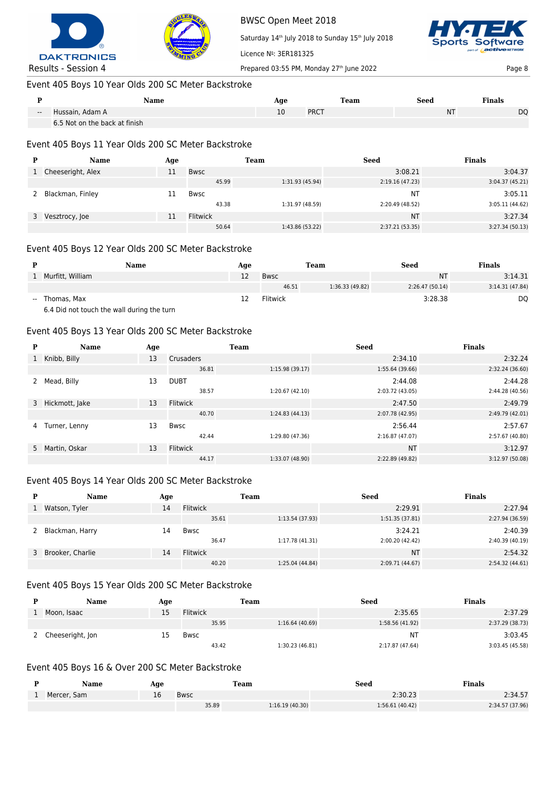



Saturday 14<sup>th</sup> July 2018 to Sunday 15<sup>th</sup> July 2018



Licence Nº: 3ER181325 Results - Session 4 Prepared 03:55 PM, Monday 27<sup>th</sup> June 2022 Page 8 Page 8

## Event 405 Boys 10 Year Olds 200 SC Meter Backstroke

|       | Name                          | Age | Team        | Seed      | <b>Finals</b>  |
|-------|-------------------------------|-----|-------------|-----------|----------------|
| $- -$ | Hussain, Adam A               | ŢΩ  | <b>PRCT</b> | <b>NT</b> | D <sub>O</sub> |
|       | 6.5 Not on the back at finish |     |             |           |                |

#### Event 405 Boys 11 Year Olds 200 SC Meter Backstroke

| Name              | Age |             | Team            | <b>Seed</b>     | <b>Finals</b>  |
|-------------------|-----|-------------|-----------------|-----------------|----------------|
| Cheeseright, Alex | 11  | Bwsc        |                 | 3:08.21         | 3:04.37        |
|                   |     | 45.99       | 1:31.93 (45.94) | 2:19.16(47.23)  | 3:04.37(45.21) |
| Blackman, Finley  |     | <b>Bwsc</b> |                 | <b>NT</b>       | 3:05.11        |
|                   |     | 43.38       | 1:31.97 (48.59) | 2:20.49 (48.52) | 3:05.11(44.62) |
| 3 Vesztrocy, Joe  | 11  | Flitwick    |                 | <b>NT</b>       | 3:27.34        |
|                   |     | 50.64       | 1:43.86 (53.22) | 2:37.21(53.35)  | 3:27.34(50.13) |

#### Event 405 Boys 12 Year Olds 200 SC Meter Backstroke

|       | Name                        | Age |          | Team            | <b>Seed</b>    | <b>Finals</b>  |
|-------|-----------------------------|-----|----------|-----------------|----------------|----------------|
|       | Murfitt, William            | 12  | Bwsc     |                 | NΤ             | 3:14.31        |
|       |                             |     | 46.51    | 1:36.33 (49.82) | 2:26.47(50.14) | 3:14.31(47.84) |
| $- -$ | Thomas, Max                 |     | Flitwick |                 | 3:28.38        | DQ             |
|       | <b>CARTILLER CONTRACTES</b> |     |          |                 |                |                |

6.4 Did not touch the wall during the turn

#### Event 405 Boys 13 Year Olds 200 SC Meter Backstroke

| P | Name             | Age |                  | <b>Team</b>     | <b>Seed</b>     | <b>Finals</b>   |
|---|------------------|-----|------------------|-----------------|-----------------|-----------------|
| 1 | Knibb, Billy     | 13  | <b>Crusaders</b> |                 | 2:34.10         | 2:32.24         |
|   |                  |     | 36.81            | 1:15.98(39.17)  | 1:55.64 (39.66) | 2:32.24 (36.60) |
|   | Mead, Billy      | 13  | <b>DUBT</b>      |                 | 2:44.08         | 2:44.28         |
|   |                  |     | 38.57            | 1:20.67 (42.10) | 2:03.72 (43.05) | 2:44.28 (40.56) |
|   | 3 Hickmott, Jake | 13  | <b>Flitwick</b>  |                 | 2:47.50         | 2:49.79         |
|   |                  |     | 40.70            | 1:24.83(44.13)  | 2:07.78 (42.95) | 2:49.79 (42.01) |
| 4 | Turner, Lenny    | 13  | Bwsc             |                 | 2:56.44         | 2:57.67         |
|   |                  |     | 42.44            | 1:29.80 (47.36) | 2:16.87 (47.07) | 2:57.67 (40.80) |
|   | 5 Martin, Oskar  | 13  | Flitwick         |                 | <b>NT</b>       | 3:12.97         |
|   |                  |     | 44.17            | 1:33.07 (48.90) | 2:22.89 (49.82) | 3:12.97 (50.08) |

### Event 405 Boys 14 Year Olds 200 SC Meter Backstroke

| <b>Name</b>        | Age |                 | Team            | <b>Seed</b>     | <b>Finals</b>   |
|--------------------|-----|-----------------|-----------------|-----------------|-----------------|
| Watson, Tyler      | 14  | Flitwick        |                 | 2:29.91         | 2:27.94         |
|                    |     | 35.61           | 1:13.54 (37.93) | 1:51.35 (37.81) | 2:27.94 (36.59) |
| Blackman, Harry    | 14  | <b>Bwsc</b>     |                 | 3:24.21         | 2:40.39         |
|                    |     | 36.47           | 1:17.78 (41.31) | 2:00.20 (42.42) | 2:40.39 (40.19) |
| 3 Brooker, Charlie | 14  | <b>Flitwick</b> |                 | <b>NT</b>       | 2:54.32         |
|                    |     | 40.20           | 1:25.04 (44.84) | 2:09.71 (44.67) | 2:54.32 (44.61) |

#### Event 405 Boys 15 Year Olds 200 SC Meter Backstroke

| Name               | Age |                 | <b>Team</b>    | Seed            | <b>Finals</b>   |
|--------------------|-----|-----------------|----------------|-----------------|-----------------|
| Moon, Isaac        | 15  | <b>Flitwick</b> |                | 2:35.65         | 2:37.29         |
|                    |     | 35.95           | 1:16.64(40.69) | 1:58.56 (41.92) | 2:37.29 (38.73) |
| 2 Cheeseright, Jon | 15  | <b>Bwsc</b>     |                | NΤ              | 3:03.45         |
|                    |     | 43.42           | 1:30.23(46.81) | 2:17.87 (47.64) | 3:03.45 (45.58) |

#### Event 405 Boys 16 & Over 200 SC Meter Backstroke

| Name        | Age |             | Team           | Seed            | Finals          |
|-------------|-----|-------------|----------------|-----------------|-----------------|
| Mercer, Sam | 16  | <b>Bwsc</b> |                | 2:30.23         | 2:34.57         |
|             |     | 35.89       | 1:16.19(40.30) | 1:56.61 (40.42) | 2:34.57 (37.96) |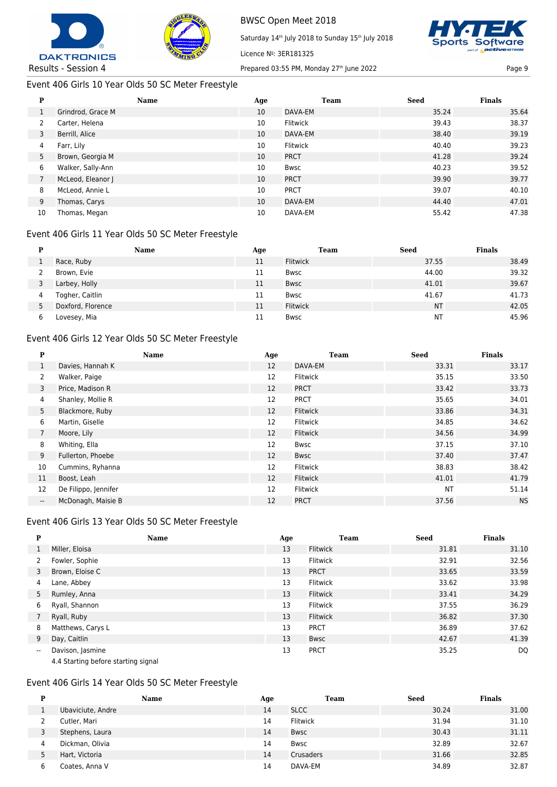



## Event 406 Girls 10 Year Olds 50 SC Meter Freestyle

# BWSC Open Meet 2018

Saturday 14<sup>th</sup> July 2018 to Sunday 15<sup>th</sup> July 2018



|    | <b>P</b>          |     |             |             |               |
|----|-------------------|-----|-------------|-------------|---------------|
| P  | Name              | Age | <b>Team</b> | <b>Seed</b> | <b>Finals</b> |
| л. | Grindrod, Grace M | 10  | DAVA-EM     | 35.24       | 35.64         |
| 2  | Carter, Helena    | 10  | Flitwick    | 39.43       | 38.37         |
| 3  | Berrill, Alice    | 10  | DAVA-EM     | 38.40       | 39.19         |
| 4  | Farr, Lily        | 10  | Flitwick    | 40.40       | 39.23         |
| 5  | Brown, Georgia M  | 10  | <b>PRCT</b> | 41.28       | 39.24         |
| 6  | Walker, Sally-Ann | 10  | Bwsc        | 40.23       | 39.52         |
|    | McLeod, Eleanor J | 10  | <b>PRCT</b> | 39.90       | 39.77         |
| 8  | McLeod, Annie L   | 10  | <b>PRCT</b> | 39.07       | 40.10         |
| 9  | Thomas, Carys     | 10  | DAVA-EM     | 44.40       | 47.01         |
| 10 | Thomas, Megan     | 10  | DAVA-EM     | 55.42       | 47.38         |

Licence Nº: 3ER181325

## Event 406 Girls 11 Year Olds 50 SC Meter Freestyle

|   | Name              | Age | Team        | Seed      | <b>Finals</b> |
|---|-------------------|-----|-------------|-----------|---------------|
|   | Race, Ruby        | 11  | Flitwick    | 37.55     | 38.49         |
|   | Brown, Evie       | 11  | Bwsc        | 44.00     | 39.32         |
|   | Larbey, Holly     | 11  | Bwsc        | 41.01     | 39.67         |
| 4 | Togher, Caitlin   | 11  | <b>Bwsc</b> | 41.67     | 41.73         |
| 5 | Doxford, Florence | 11  | Flitwick    | <b>NT</b> | 42.05         |
|   | Lovesey, Mia      | 11  | <b>Bwsc</b> | NT        | 45.96         |

## Event 406 Girls 12 Year Olds 50 SC Meter Freestyle

| P                        | <b>Name</b>          | Age | <b>Team</b>     | <b>Seed</b> | <b>Finals</b> |
|--------------------------|----------------------|-----|-----------------|-------------|---------------|
|                          | Davies, Hannah K     | 12  | DAVA-EM         | 33.31       | 33.17         |
| 2                        | Walker, Paige        | 12  | <b>Flitwick</b> | 35.15       | 33.50         |
| 3                        | Price, Madison R     | 12  | <b>PRCT</b>     | 33.42       | 33.73         |
| 4                        | Shanley, Mollie R    | 12  | <b>PRCT</b>     | 35.65       | 34.01         |
| 5                        | Blackmore, Ruby      | 12  | <b>Flitwick</b> | 33.86       | 34.31         |
| 6                        | Martin, Giselle      | 12  | Flitwick        | 34.85       | 34.62         |
| $\overline{7}$           | Moore, Lily          | 12  | Flitwick        | 34.56       | 34.99         |
| 8                        | Whiting, Ella        | 12  | Bwsc            | 37.15       | 37.10         |
| 9                        | Fullerton, Phoebe    | 12  | Bwsc            | 37.40       | 37.47         |
| 10                       | Cummins, Ryhanna     | 12  | Flitwick        | 38.83       | 38.42         |
| 11                       | Boost, Leah          | 12  | <b>Flitwick</b> | 41.01       | 41.79         |
| 12                       | De Filippo, Jennifer | 12  | Flitwick        | <b>NT</b>   | 51.14         |
| $\overline{\phantom{a}}$ | McDonagh, Maisie B   | 12  | <b>PRCT</b>     | 37.56       | <b>NS</b>     |

## Event 406 Girls 13 Year Olds 50 SC Meter Freestyle

| P                        | Name                                | Age | <b>Team</b>     | <b>Seed</b> | <b>Finals</b> |
|--------------------------|-------------------------------------|-----|-----------------|-------------|---------------|
| 1                        | Miller, Eloisa                      | 13  | <b>Flitwick</b> | 31.81       | 31.10         |
| 2                        | Fowler, Sophie                      | 13  | <b>Flitwick</b> | 32.91       | 32.56         |
| 3                        | Brown, Eloise C                     | 13  | <b>PRCT</b>     | 33.65       | 33.59         |
| 4                        | Lane, Abbey                         | 13  | <b>Flitwick</b> | 33.62       | 33.98         |
| 5                        | Rumley, Anna                        | 13  | <b>Flitwick</b> | 33.41       | 34.29         |
| 6                        | Ryall, Shannon                      | 13  | <b>Flitwick</b> | 37.55       | 36.29         |
|                          | Ryall, Ruby                         | 13  | <b>Flitwick</b> | 36.82       | 37.30         |
| 8                        | Matthews, Carys L                   | 13  | <b>PRCT</b>     | 36.89       | 37.62         |
| 9                        | Day, Caitlin                        | 13  | <b>Bwsc</b>     | 42.67       | 41.39         |
| $\overline{\phantom{a}}$ | Davison, Jasmine                    | 13  | <b>PRCT</b>     | 35.25       | DQ            |
|                          | 4.4 Starting before starting signal |     |                 |             |               |

#### Event 406 Girls 14 Year Olds 50 SC Meter Freestyle

| D | <b>Name</b>       | Age | <b>Team</b> | <b>Seed</b> | <b>Finals</b> |
|---|-------------------|-----|-------------|-------------|---------------|
|   | Ubaviciute, Andre | 14  | <b>SLCC</b> | 30.24       | 31.00         |
|   | Cutler, Mari      | 14  | Flitwick    | 31.94       | 31.10         |
|   | Stephens, Laura   | 14  | Bwsc        | 30.43       | 31.11         |
| 4 | Dickman, Olivia   | 14  | Bwsc        | 32.89       | 32.67         |
|   | Hart, Victoria    | 14  | Crusaders   | 31.66       | 32.85         |
| 6 | Coates, Anna V    | 14  | DAVA-EM     | 34.89       | 32.87         |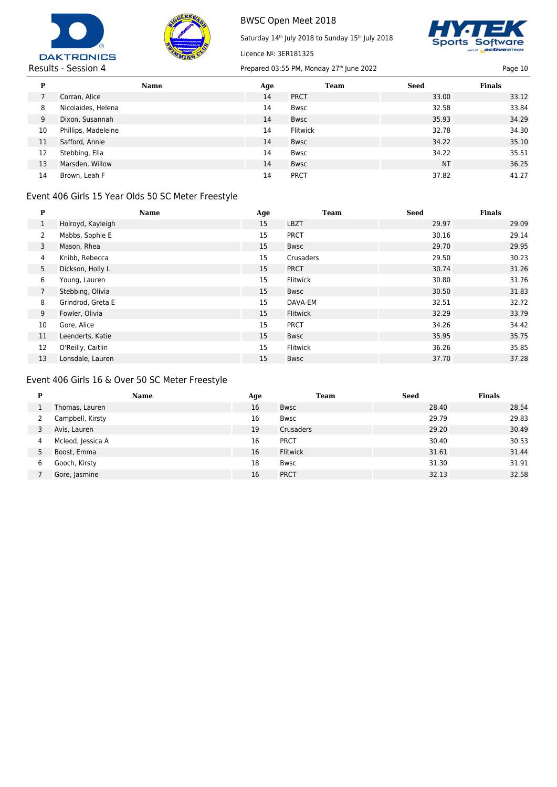



Saturday 14<sup>th</sup> July 2018 to Sunday 15<sup>th</sup> July 2018



Results - Session 4 Prepared 03:55 PM, Monday 27<sup>th</sup> June 2022 Page 10

| P  | <b>Name</b>         | Age | Team        | <b>Seed</b> | <b>Finals</b> |
|----|---------------------|-----|-------------|-------------|---------------|
|    | Corran, Alice       | 14  | <b>PRCT</b> | 33.00       | 33.12         |
| 8  | Nicolaides, Helena  | 14  | Bwsc        | 32.58       | 33.84         |
| 9  | Dixon, Susannah     | 14  | <b>Bwsc</b> | 35.93       | 34.29         |
| 10 | Phillips, Madeleine | 14  | Flitwick    | 32.78       | 34.30         |
| 11 | Safford, Annie      | 14  | <b>Bwsc</b> | 34.22       | 35.10         |
| 12 | Stebbing, Ella      | 14  | Bwsc        | 34.22       | 35.51         |
| 13 | Marsden, Willow     | 14  | <b>Bwsc</b> | <b>NT</b>   | 36.25         |
| 14 | Brown, Leah F       | 14  | <b>PRCT</b> | 37.82       | 41.27         |

Licence Nº: 3ER181325

# Event 406 Girls 15 Year Olds 50 SC Meter Freestyle

| P              | <b>Name</b>       | Age | <b>Team</b>     | <b>Seed</b> | <b>Finals</b> |
|----------------|-------------------|-----|-----------------|-------------|---------------|
| $\mathbf{1}$   | Holroyd, Kayleigh | 15  | <b>LBZT</b>     | 29.97       | 29.09         |
| $\overline{2}$ | Mabbs, Sophie E   | 15  | <b>PRCT</b>     | 30.16       | 29.14         |
| 3              | Mason, Rhea       | 15  | <b>Bwsc</b>     | 29.70       | 29.95         |
| 4              | Knibb, Rebecca    | 15  | Crusaders       | 29.50       | 30.23         |
| 5              | Dickson, Holly L  | 15  | <b>PRCT</b>     | 30.74       | 31.26         |
| 6              | Young, Lauren     | 15  | Flitwick        | 30.80       | 31.76         |
| $\overline{7}$ | Stebbing, Olivia  | 15  | Bwsc            | 30.50       | 31.83         |
| 8              | Grindrod, Greta E | 15  | DAVA-EM         | 32.51       | 32.72         |
| 9              | Fowler, Olivia    | 15  | <b>Flitwick</b> | 32.29       | 33.79         |
| 10             | Gore, Alice       | 15  | <b>PRCT</b>     | 34.26       | 34.42         |
| 11             | Leenderts, Katie  | 15  | Bwsc            | 35.95       | 35.75         |
| 12             | O'Reilly, Caitlin | 15  | Flitwick        | 36.26       | 35.85         |
| 13             | Lonsdale, Lauren  | 15  | <b>Bwsc</b>     | 37.70       | 37.28         |

# Event 406 Girls 16 & Over 50 SC Meter Freestyle

| P | <b>Name</b>       | Age | <b>Team</b>     | <b>Seed</b> | <b>Finals</b> |
|---|-------------------|-----|-----------------|-------------|---------------|
|   | Thomas, Lauren    | 16  | <b>Bwsc</b>     | 28.40       | 28.54         |
|   | Campbell, Kirsty  | 16  | <b>Bwsc</b>     | 29.79       | 29.83         |
|   | Avis, Lauren      | 19  | Crusaders       | 29.20       | 30.49         |
| 4 | Mcleod, Jessica A | 16  | <b>PRCT</b>     | 30.40       | 30.53         |
| 5 | Boost, Emma       | 16  | <b>Flitwick</b> | 31.61       | 31.44         |
| 6 | Gooch, Kirsty     | 18  | <b>Bwsc</b>     | 31.30       | 31.91         |
|   | Gore, Jasmine     | 16  | <b>PRCT</b>     | 32.13       | 32.58         |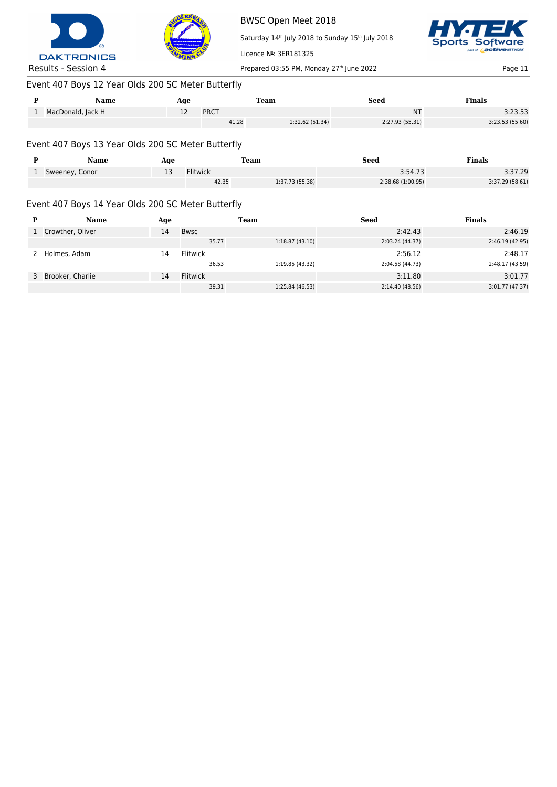



Saturday 14<sup>th</sup> July 2018 to Sunday 15<sup>th</sup> July 2018



Results - Session 4 Prepared 03:55 PM, Monday 27<sup>th</sup> June 2022 Page 11

# Event 407 Boys 12 Year Olds 200 SC Meter Butterfly

|          | Name              | Age |       | Team            | Seed            | Finals          |
|----------|-------------------|-----|-------|-----------------|-----------------|-----------------|
| <b>.</b> | MacDonald, Jack H | --  | PRCT  |                 | ΝT              | 3:23.53         |
|          |                   |     | 41.28 | 1:32.62 (51.34) | 2:27.93 (55.31) | 3:23.53 (55.60) |

Licence Nº: 3ER181325

# Event 407 Boys 13 Year Olds 200 SC Meter Butterfly

| Name             | Aqe |                 | <b>Team</b>     | Seed              | <b>Finals</b>  |
|------------------|-----|-----------------|-----------------|-------------------|----------------|
| 1 Sweeney, Conor | --  | <b>Flitwick</b> |                 | 3:54.73           | 3:37.29        |
|                  |     | 42.35           | 1:37.73 (55.38) | 2:38.68 (1:00.95) | 3:37.29(58.61) |

# Event 407 Boys 14 Year Olds 200 SC Meter Butterfly

| D | Name               | Age |             | Team            | <b>Seed</b>     | <b>Finals</b>   |
|---|--------------------|-----|-------------|-----------------|-----------------|-----------------|
|   | 1 Crowther, Oliver | 14  | <b>Bwsc</b> |                 | 2:42.43         | 2:46.19         |
|   |                    |     | 35.77       | 1:18.87(43.10)  | 2:03.24 (44.37) | 2:46.19(42.95)  |
|   | Holmes, Adam       | 14  | Flitwick    |                 | 2:56.12         | 2:48.17         |
|   |                    |     | 36.53       | 1:19.85 (43.32) | 2:04.58 (44.73) | 2:48.17 (43.59) |
|   | 3 Brooker, Charlie | 14  | Flitwick    |                 | 3:11.80         | 3:01.77         |
|   |                    |     | 39.31       | 1:25.84 (46.53) | 2:14.40 (48.56) | 3:01.77(47.37)  |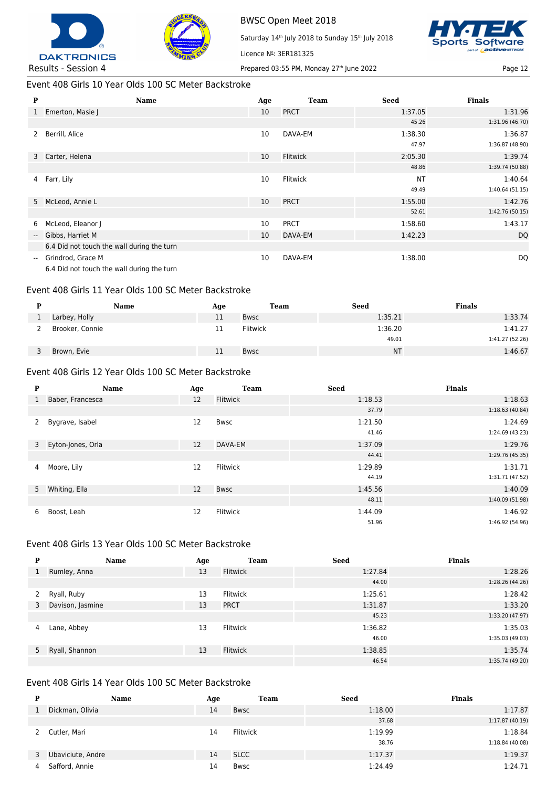



Licence Nº: 3ER181325

Saturday 14<sup>th</sup> July 2018 to Sunday 15<sup>th</sup> July 2018



Results - Session 4 Prepared 03:55 PM, Monday 27<sup>th</sup> June 2022 Page 12

Event 408 Girls 10 Year Olds 100 SC Meter Backstroke

| P                        | <b>Name</b>                                | Age | <b>Team</b> | <b>Seed</b> | <b>Finals</b>   |
|--------------------------|--------------------------------------------|-----|-------------|-------------|-----------------|
|                          | 1 Emerton, Masie J                         | 10  | <b>PRCT</b> | 1:37.05     | 1:31.96         |
|                          |                                            |     |             | 45.26       | 1:31.96 (46.70) |
| $\mathbf{2}$             | Berrill, Alice                             | 10  | DAVA-EM     | 1:38.30     | 1:36.87         |
|                          |                                            |     |             | 47.97       | 1:36.87 (48.90) |
|                          | 3 Carter, Helena                           | 10  | Flitwick    | 2:05.30     | 1:39.74         |
|                          |                                            |     |             | 48.86       | 1:39.74 (50.88) |
|                          | 4 Farr, Lily                               | 10  | Flitwick    | <b>NT</b>   | 1:40.64         |
|                          |                                            |     |             | 49.49       | 1:40.64(51.15)  |
|                          | 5 McLeod, Annie L                          | 10  | <b>PRCT</b> | 1:55.00     | 1:42.76         |
|                          |                                            |     |             | 52.61       | 1:42.76 (50.15) |
| 6                        | McLeod, Eleanor J                          | 10  | <b>PRCT</b> | 1:58.60     | 1:43.17         |
| $\overline{\phantom{a}}$ | Gibbs, Harriet M                           | 10  | DAVA-EM     | 1:42.23     | <b>DQ</b>       |
|                          | 6.4 Did not touch the wall during the turn |     |             |             |                 |
| $\overline{\phantom{a}}$ | Grindrod, Grace M                          | 10  | DAVA-EM     | 1:38.00     | DQ              |
|                          | 6.4 Did not touch the wall during the turn |     |             |             |                 |

#### Event 408 Girls 11 Year Olds 100 SC Meter Backstroke

| Name            | Age | Team        | Seed      | <b>Finals</b>   |
|-----------------|-----|-------------|-----------|-----------------|
| Larbey, Holly   | 11  | <b>Bwsc</b> | 1:35.21   | 1:33.74         |
| Brooker, Connie | 11  | Flitwick    | 1:36.20   | 1:41.27         |
|                 |     |             | 49.01     | 1:41.27 (52.26) |
| Brown, Evie     | 11  | <b>Bwsc</b> | <b>NT</b> | 1:46.67         |

#### Event 408 Girls 12 Year Olds 100 SC Meter Backstroke

| P            | <b>Name</b>         | Age | <b>Team</b>     | <b>Seed</b> | <b>Finals</b>   |
|--------------|---------------------|-----|-----------------|-------------|-----------------|
| $\mathbf{1}$ | Baber, Francesca    | 12  | Flitwick        | 1:18.53     | 1:18.63         |
|              |                     |     |                 | 37.79       | 1:18.63(40.84)  |
| 2            | Bygrave, Isabel     | 12  | <b>Bwsc</b>     | 1:21.50     | 1:24.69         |
|              |                     |     |                 | 41.46       | 1:24.69 (43.23) |
|              | 3 Eyton-Jones, Orla | 12  | DAVA-EM         | 1:37.09     | 1:29.76         |
|              |                     |     |                 | 44.41       | 1:29.76 (45.35) |
| 4            | Moore, Lily         | 12  | <b>Flitwick</b> | 1:29.89     | 1:31.71         |
|              |                     |     |                 | 44.19       | 1:31.71 (47.52) |
| 5            | Whiting, Ella       | 12  | <b>Bwsc</b>     | 1:45.56     | 1:40.09         |
|              |                     |     |                 | 48.11       | 1:40.09 (51.98) |
| 6            | Boost, Leah         | 12  | <b>Flitwick</b> | 1:44.09     | 1:46.92         |
|              |                     |     |                 | 51.96       | 1:46.92 (54.96) |

#### Event 408 Girls 13 Year Olds 100 SC Meter Backstroke

| P | Name             | Age | <b>Team</b> | <b>Seed</b> | <b>Finals</b>   |
|---|------------------|-----|-------------|-------------|-----------------|
| 1 | Rumley, Anna     | 13  | Flitwick    | 1:27.84     | 1:28.26         |
|   |                  |     |             | 44.00       | 1:28.26 (44.26) |
| 2 | Ryall, Ruby      | 13  | Flitwick    | 1:25.61     | 1:28.42         |
| 3 | Davison, Jasmine | 13  | <b>PRCT</b> | 1:31.87     | 1:33.20         |
|   |                  |     |             | 45.23       | 1:33.20 (47.97) |
| 4 | Lane, Abbey      | 13  | Flitwick    | 1:36.82     | 1:35.03         |
|   |                  |     |             | 46.00       | 1:35.03 (49.03) |
|   | 5 Ryall, Shannon | 13  | Flitwick    | 1:38.85     | 1:35.74         |
|   |                  |     |             | 46.54       | 1:35.74 (49.20) |

# Event 408 Girls 14 Year Olds 100 SC Meter Backstroke

| P | Name              | Age | Team            | <b>Seed</b> | <b>Finals</b>   |
|---|-------------------|-----|-----------------|-------------|-----------------|
|   | Dickman, Olivia   | 14  | Bwsc            | 1:18.00     | 1:17.87         |
|   |                   |     |                 | 37.68       | 1:17.87(40.19)  |
|   | Cutler, Mari      | 14  | <b>Flitwick</b> | 1:19.99     | 1:18.84         |
|   |                   |     |                 | 38.76       | 1:18.84 (40.08) |
| 3 | Ubaviciute, Andre | 14  | <b>SLCC</b>     | 1:17.37     | 1:19.37         |
| 4 | Safford, Annie    | 14  | Bwsc            | 1:24.49     | 1:24.71         |